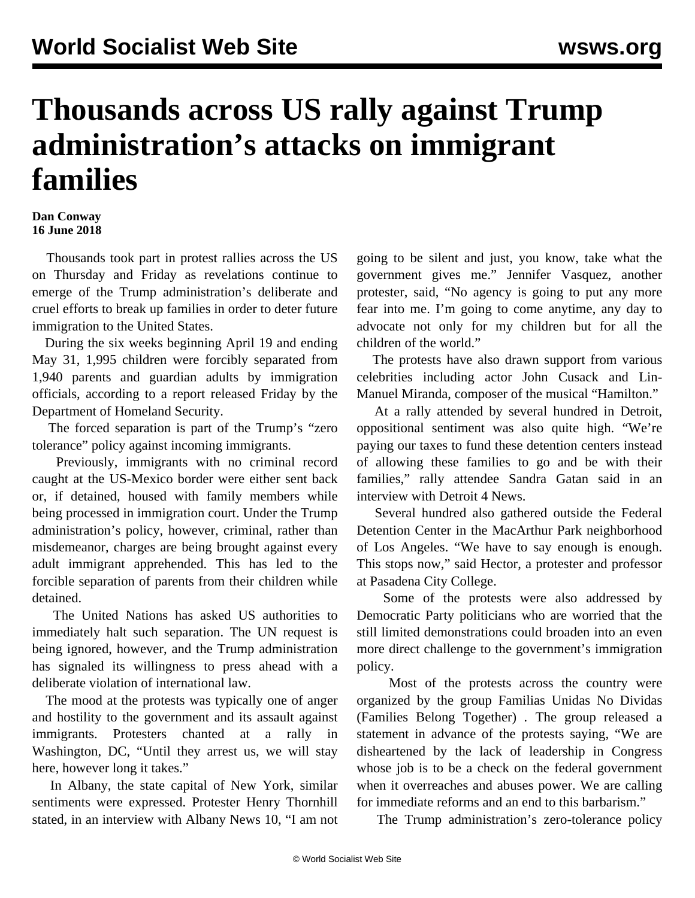## **Thousands across US rally against Trump administration's attacks on immigrant families**

## **Dan Conway 16 June 2018**

 Thousands took part in protest rallies across the US on Thursday and Friday as revelations continue to emerge of the Trump administration's deliberate and cruel efforts to break up families in order to deter future immigration to the United States.

 During the six weeks beginning April 19 and ending May 31, 1,995 children were forcibly separated from 1,940 parents and guardian adults by immigration officials, according to a report released Friday by the Department of Homeland Security.

 The forced separation is part of the Trump's "zero tolerance" policy against incoming immigrants.

 Previously, immigrants with no criminal record caught at the US-Mexico border were either sent back or, if detained, housed with family members while being processed in immigration court. Under the Trump administration's policy, however, criminal, rather than misdemeanor, charges are being brought against every adult immigrant apprehended. This has led to the forcible separation of parents from their children while detained.

 The United Nations has asked US authorities to immediately halt such separation. The UN request is being ignored, however, and the Trump administration has signaled its willingness to press ahead with a deliberate violation of international law.

 The mood at the protests was typically one of anger and hostility to the government and its assault against immigrants. Protesters chanted at a rally in Washington, DC, "Until they arrest us, we will stay here, however long it takes."

 In Albany, the state capital of New York, similar sentiments were expressed. Protester Henry Thornhill stated, in an interview with Albany News 10, "I am not

going to be silent and just, you know, take what the government gives me." Jennifer Vasquez, another protester, said, "No agency is going to put any more fear into me. I'm going to come anytime, any day to advocate not only for my children but for all the children of the world."

 The protests have also drawn support from various celebrities including actor John Cusack and Lin-Manuel Miranda, composer of the musical "Hamilton."

 At a rally attended by several hundred in Detroit, oppositional sentiment was also quite high. "We're paying our taxes to fund these detention centers instead of allowing these families to go and be with their families," rally attendee Sandra Gatan said in an interview with Detroit 4 News.

 Several hundred also gathered outside the Federal Detention Center in the MacArthur Park neighborhood of Los Angeles. "We have to say enough is enough. This stops now," said Hector, a protester and professor at Pasadena City College.

 Some of the protests were also addressed by Democratic Party politicians who are worried that the still limited demonstrations could broaden into an even more direct challenge to the government's immigration policy.

 Most of the protests across the country were organized by the group Familias Unidas No Dividas (Families Belong Together) *.* The group released a statement in advance of the protests saying, "We are disheartened by the lack of leadership in Congress whose job is to be a check on the federal government when it overreaches and abuses power. We are calling for immediate reforms and an end to this barbarism."

The Trump administration's zero-tolerance policy